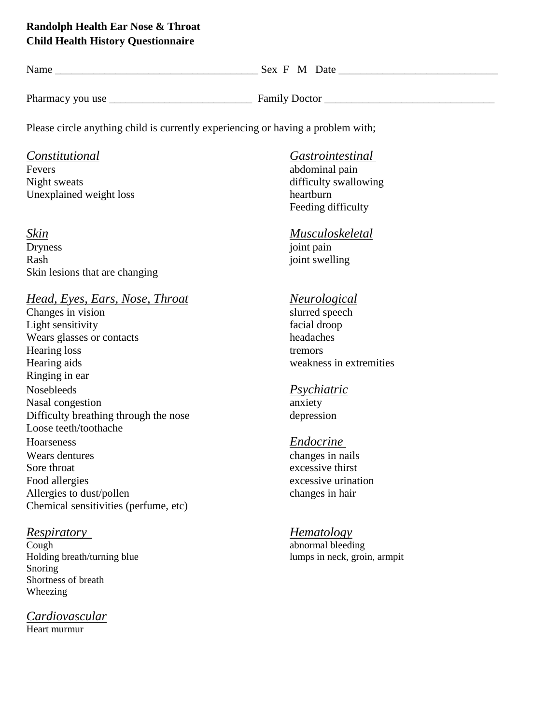## **Randolph Health Ear Nose & Throat Child Health History Questionnaire**

| Name             | Sex F M Date         |
|------------------|----------------------|
|                  |                      |
| Pharmacy you use | <b>Family Doctor</b> |

Please circle anything child is currently experiencing or having a problem with;

Night sweats difficulty swallowing Unexplained weight loss heartburn

Dryness joint pain Rash joint swelling Skin lesions that are changing

# *Head, Eyes, Ears, Nose, Throat Neurological*

Changes in vision Light sensitivity facial droop Wears glasses or contacts headaches Hearing loss tremors tremors tremors tremors tremors tremors tremors tremors tremors tremors tremors tremors tremors tremors tremors tremors tremors tremors tremors tremors tremors tremors tremors tremors tremors tremors t Ringing in ear Nosebleeds *Psychiatric* Nasal congestion anxiety<br>Difficulty breathing through the nose depression depression Difficulty breathing through the nose Loose teeth/toothache Hoarseness *Endocrine*  Wears dentures changes in nails Sore throat excessive thirst Food allergies excessive urination Allergies to dust/pollen changes in hair Chemical sensitivities (perfume, etc)

**Cough** abnormal bleeding Snoring Shortness of breath Wheezing

## *Cardiovascular*

Heart murmur

## *Constitutional Gastrointestinal*

abdominal pain Feeding difficulty

## *Skin Musculoskeletal*

weakness in extremities

## *Respiratory Hematology*

Holding breath/turning blue lumps in neck, groin, armpit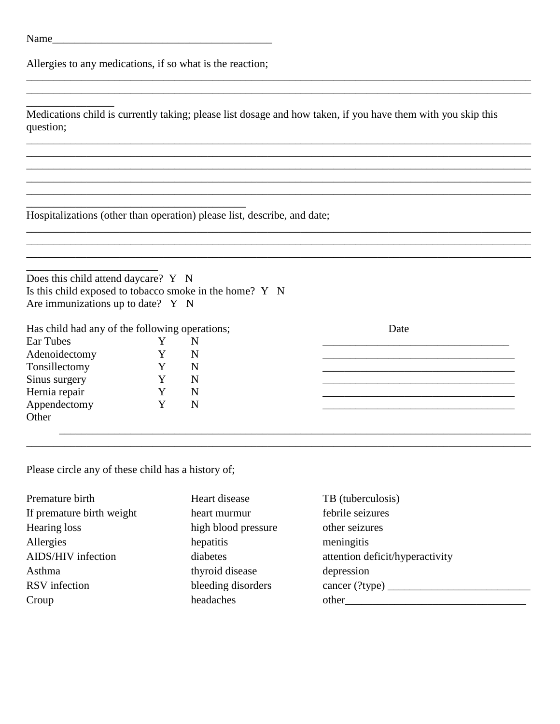\_\_\_\_\_\_\_\_\_\_\_\_\_\_\_\_

Allergies to any medications, if so what is the reaction;

\_\_\_\_\_\_\_\_\_\_\_\_\_\_\_\_\_\_\_\_\_\_\_\_\_\_\_\_\_\_\_\_\_\_\_\_\_\_\_\_

Medications child is currently taking; please list dosage and how taken, if you have them with you skip this question;

\_\_\_\_\_\_\_\_\_\_\_\_\_\_\_\_\_\_\_\_\_\_\_\_\_\_\_\_\_\_\_\_\_\_\_\_\_\_\_\_\_\_\_\_\_\_\_\_\_\_\_\_\_\_\_\_\_\_\_\_\_\_\_\_\_\_\_\_\_\_\_\_\_\_\_\_\_\_\_\_\_\_\_\_\_\_\_\_\_\_\_\_  $\overline{\phantom{a}}$  , and the contribution of the contribution of the contribution of the contribution of the contribution of the contribution of the contribution of the contribution of the contribution of the contribution of the

\_\_\_\_\_\_\_\_\_\_\_\_\_\_\_\_\_\_\_\_\_\_\_\_\_\_\_\_\_\_\_\_\_\_\_\_\_\_\_\_\_\_\_\_\_\_\_\_\_\_\_\_\_\_\_\_\_\_\_\_\_\_\_\_\_\_\_\_\_\_\_\_\_\_\_\_\_\_\_\_\_\_\_\_\_\_\_\_\_\_\_\_ \_\_\_\_\_\_\_\_\_\_\_\_\_\_\_\_\_\_\_\_\_\_\_\_\_\_\_\_\_\_\_\_\_\_\_\_\_\_\_\_\_\_\_\_\_\_\_\_\_\_\_\_\_\_\_\_\_\_\_\_\_\_\_\_\_\_\_\_\_\_\_\_\_\_\_\_\_\_\_\_\_\_\_\_\_\_\_\_\_\_\_\_ \_\_\_\_\_\_\_\_\_\_\_\_\_\_\_\_\_\_\_\_\_\_\_\_\_\_\_\_\_\_\_\_\_\_\_\_\_\_\_\_\_\_\_\_\_\_\_\_\_\_\_\_\_\_\_\_\_\_\_\_\_\_\_\_\_\_\_\_\_\_\_\_\_\_\_\_\_\_\_\_\_\_\_\_\_\_\_\_\_\_\_\_  $\ldots$  . The contribution of the contribution of the contribution of the contribution of the contribution of the contribution of the contribution of the contribution of the contribution of the contribution of the contribut

\_\_\_\_\_\_\_\_\_\_\_\_\_\_\_\_\_\_\_\_\_\_\_\_\_\_\_\_\_\_\_\_\_\_\_\_\_\_\_\_\_\_\_\_\_\_\_\_\_\_\_\_\_\_\_\_\_\_\_\_\_\_\_\_\_\_\_\_\_\_\_\_\_\_\_\_\_\_\_\_\_\_\_\_\_\_\_\_\_\_\_\_

Hospitalizations (other than operation) please list, describe, and date;

| Does this child attend daycare? Y N                     |  |
|---------------------------------------------------------|--|
| Is this child exposed to tobacco smoke in the home? Y N |  |
| Are immunizations up to date? $Y \ N$                   |  |

| Has child had any of the following operations; |   | Date |
|------------------------------------------------|---|------|
| Ear Tubes                                      |   |      |
| Adenoidectomy                                  | N |      |
| Tonsillectomy                                  | N |      |
| Sinus surgery                                  | N |      |
| Hernia repair                                  | N |      |
| Appendectomy                                   | N |      |
| Other                                          |   |      |
|                                                |   |      |

\_\_\_\_\_\_\_\_\_\_\_\_\_\_\_\_\_\_\_\_\_\_\_\_\_\_\_\_\_\_\_\_\_\_\_\_\_\_\_\_\_\_\_\_\_\_\_\_\_\_\_\_\_\_\_\_\_\_\_\_\_\_\_\_\_\_\_\_\_\_\_\_\_\_\_\_\_\_\_\_\_\_\_\_\_\_\_\_\_\_\_\_

Please circle any of these child has a history of;

| Premature birth           | Heart disease       | TB (tuberculosis)               |
|---------------------------|---------------------|---------------------------------|
| If premature birth weight | heart murmur        | febrile seizures                |
| Hearing loss              | high blood pressure | other seizures                  |
| Allergies                 | hepatitis           | meningitis                      |
| AIDS/HIV infection        | diabetes            | attention deficit/hyperactivity |
| Asthma                    | thyroid disease     | depression                      |
| RSV infection             | bleeding disorders  | cancer (?type)                  |
| Croup                     | headaches           | other                           |
|                           |                     |                                 |